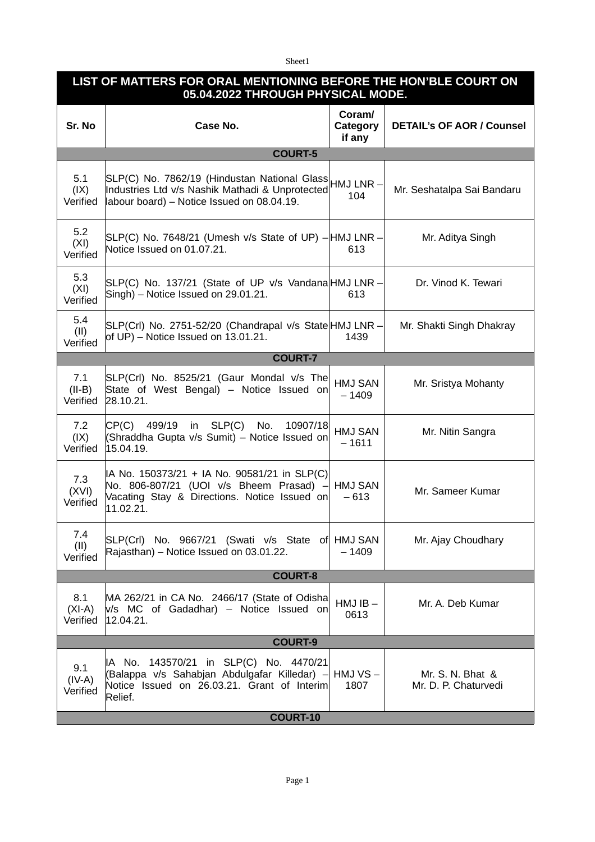Sheet1

| LIST OF MATTERS FOR ORAL MENTIONING BEFORE THE HON'BLE COURT ON<br>05.04.2022 THROUGH PHYSICAL MODE. |                                                                                                                                                                |                              |                                          |  |  |
|------------------------------------------------------------------------------------------------------|----------------------------------------------------------------------------------------------------------------------------------------------------------------|------------------------------|------------------------------------------|--|--|
| Sr. No                                                                                               | Case No.                                                                                                                                                       | Coram/<br>Category<br>if any | <b>DETAIL's OF AOR / Counsel</b>         |  |  |
|                                                                                                      | <b>COURT-5</b>                                                                                                                                                 |                              |                                          |  |  |
| 5.1<br>(XI)<br>Verified                                                                              | SLP(C) No. 7862/19 (Hindustan National Glass HMJ LNR -<br>Industries Ltd v/s Nashik Mathadi & Unprotected<br>labour board) – Notice Issued on 08.04.19.        | 104                          | Mr. Seshatalpa Sai Bandaru               |  |  |
| 5.2<br>(XI)<br>Verified                                                                              | SLP(C) No. 7648/21 (Umesh v/s State of UP) - HMJ LNR -<br>Notice Issued on 01.07.21.                                                                           | 613                          | Mr. Aditya Singh                         |  |  |
| 5.3<br>(XI)<br>Verified                                                                              | SLP(C) No. 137/21 (State of UP v/s Vandana HMJ LNR -<br>Singh) - Notice Issued on 29.01.21.                                                                    | 613                          | Dr. Vinod K. Tewari                      |  |  |
| 5.4<br>(II)<br>Verified                                                                              | SLP(Crl) No. 2751-52/20 (Chandrapal v/s State HMJ LNR -<br>of UP) – Notice Issued on $13.01.21$ .                                                              | 1439                         | Mr. Shakti Singh Dhakray                 |  |  |
|                                                                                                      | <b>COURT-7</b>                                                                                                                                                 |                              |                                          |  |  |
| 7.1<br>$(II-B)$<br>Verified                                                                          | SLP(Crl) No. 8525/21 (Gaur Mondal v/s The<br>State of West Bengal) - Notice Issued on<br>28.10.21.                                                             | HMJ SAN<br>$-1409$           | Mr. Sristya Mohanty                      |  |  |
| 7.2<br>(IX)<br>Verified                                                                              | CP(C)<br>499/19 in SLP(C)<br>No.<br>10907/18<br>(Shraddha Gupta v/s Sumit) - Notice Issued on<br>15.04.19.                                                     | HMJ SAN<br>$-1611$           | Mr. Nitin Sangra                         |  |  |
| 7.3<br>(XVI)<br>Verified                                                                             | IA No. 150373/21 + IA No. 90581/21 in SLP(C)<br>No. 806-807/21 (UOI v/s Bheem Prasad) $-$ HMJ SAN<br>Vacating Stay & Directions. Notice Issued on<br>11.02.21. | $-613$                       | Mr. Sameer Kumar                         |  |  |
| 7.4<br>(II)<br>Verified                                                                              | SLP(Crl) No. 9667/21 (Swati v/s State of HMJ SAN<br>Rajasthan) - Notice Issued on 03.01.22.                                                                    | $-1409$                      | Mr. Ajay Choudhary                       |  |  |
| <b>COURT-8</b>                                                                                       |                                                                                                                                                                |                              |                                          |  |  |
| 8.1<br>$(XI-A)$<br>Verified                                                                          | MA 262/21 in CA No. 2466/17 (State of Odisha)<br>V/s MC of Gadadhar) - Notice Issued on<br>12.04.21.                                                           | $HMJIB -$<br>0613            | Mr. A. Deb Kumar                         |  |  |
| <b>COURT-9</b>                                                                                       |                                                                                                                                                                |                              |                                          |  |  |
| 9.1<br>$(IV-A)$<br>Verified                                                                          | IA No. 143570/21 in SLP(C) No. 4470/21<br>(Balappa v/s Sahabjan Abdulgafar Killedar) – HMJ VS –<br>Notice Issued on 26.03.21. Grant of Interim<br>Relief.      | 1807                         | Mr. S. N. Bhat &<br>Mr. D. P. Chaturvedi |  |  |
| <b>COURT-10</b>                                                                                      |                                                                                                                                                                |                              |                                          |  |  |